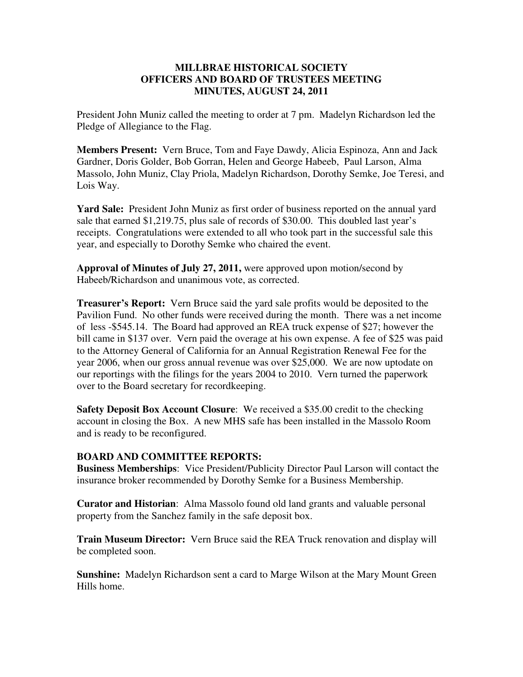## **MILLBRAE HISTORICAL SOCIETY OFFICERS AND BOARD OF TRUSTEES MEETING MINUTES, AUGUST 24, 2011**

President John Muniz called the meeting to order at 7 pm. Madelyn Richardson led the Pledge of Allegiance to the Flag.

**Members Present:** Vern Bruce, Tom and Faye Dawdy, Alicia Espinoza, Ann and Jack Gardner, Doris Golder, Bob Gorran, Helen and George Habeeb, Paul Larson, Alma Massolo, John Muniz, Clay Priola, Madelyn Richardson, Dorothy Semke, Joe Teresi, and Lois Way.

**Yard Sale:** President John Muniz as first order of business reported on the annual yard sale that earned \$1,219.75, plus sale of records of \$30.00. This doubled last year's receipts. Congratulations were extended to all who took part in the successful sale this year, and especially to Dorothy Semke who chaired the event.

**Approval of Minutes of July 27, 2011,** were approved upon motion/second by Habeeb/Richardson and unanimous vote, as corrected.

**Treasurer's Report:** Vern Bruce said the yard sale profits would be deposited to the Pavilion Fund. No other funds were received during the month. There was a net income of less -\$545.14. The Board had approved an REA truck expense of \$27; however the bill came in \$137 over. Vern paid the overage at his own expense. A fee of \$25 was paid to the Attorney General of California for an Annual Registration Renewal Fee for the year 2006, when our gross annual revenue was over \$25,000. We are now uptodate on our reportings with the filings for the years 2004 to 2010. Vern turned the paperwork over to the Board secretary for recordkeeping.

**Safety Deposit Box Account Closure:** We received a \$35.00 credit to the checking account in closing the Box. A new MHS safe has been installed in the Massolo Room and is ready to be reconfigured.

## **BOARD AND COMMITTEE REPORTS:**

**Business Memberships**: Vice President/Publicity Director Paul Larson will contact the insurance broker recommended by Dorothy Semke for a Business Membership.

**Curator and Historian**: Alma Massolo found old land grants and valuable personal property from the Sanchez family in the safe deposit box.

**Train Museum Director:** Vern Bruce said the REA Truck renovation and display will be completed soon.

**Sunshine:** Madelyn Richardson sent a card to Marge Wilson at the Mary Mount Green Hills home.